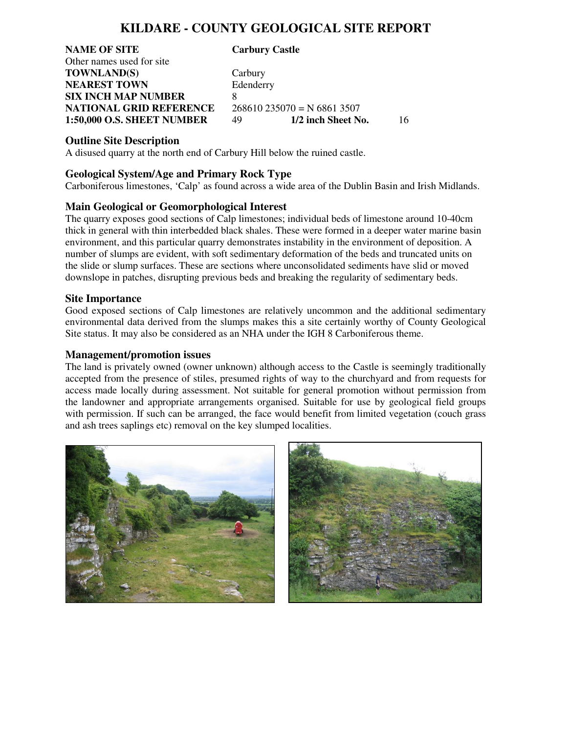## **KILDARE - COUNTY GEOLOGICAL SITE REPORT**

**NAME OF SITE Carbury Castle**  Other names used for site **TOWNLAND(S)** Carbury **NEAREST TOWN** Edenderry **SIX INCH MAP NUMBER** 8 **NATIONAL GRID REFERENCE** 268610 235070 = N 6861 3507<br>1:50,000 O.S. SHEET NUMBER 49 1/2 inch Sheet No.

**1:50,000 O.S. SHEET NUMBER** 49 **1/2 inch Sheet No.** 16

#### **Outline Site Description**

A disused quarry at the north end of Carbury Hill below the ruined castle.

#### **Geological System/Age and Primary Rock Type**

Carboniferous limestones, 'Calp' as found across a wide area of the Dublin Basin and Irish Midlands.

### **Main Geological or Geomorphological Interest**

The quarry exposes good sections of Calp limestones; individual beds of limestone around 10-40cm thick in general with thin interbedded black shales. These were formed in a deeper water marine basin environment, and this particular quarry demonstrates instability in the environment of deposition. A number of slumps are evident, with soft sedimentary deformation of the beds and truncated units on the slide or slump surfaces. These are sections where unconsolidated sediments have slid or moved downslope in patches, disrupting previous beds and breaking the regularity of sedimentary beds.

#### **Site Importance**

Good exposed sections of Calp limestones are relatively uncommon and the additional sedimentary environmental data derived from the slumps makes this a site certainly worthy of County Geological Site status. It may also be considered as an NHA under the IGH 8 Carboniferous theme.

#### **Management/promotion issues**

The land is privately owned (owner unknown) although access to the Castle is seemingly traditionally accepted from the presence of stiles, presumed rights of way to the churchyard and from requests for access made locally during assessment. Not suitable for general promotion without permission from the landowner and appropriate arrangements organised. Suitable for use by geological field groups with permission. If such can be arranged, the face would benefit from limited vegetation (couch grass and ash trees saplings etc) removal on the key slumped localities.